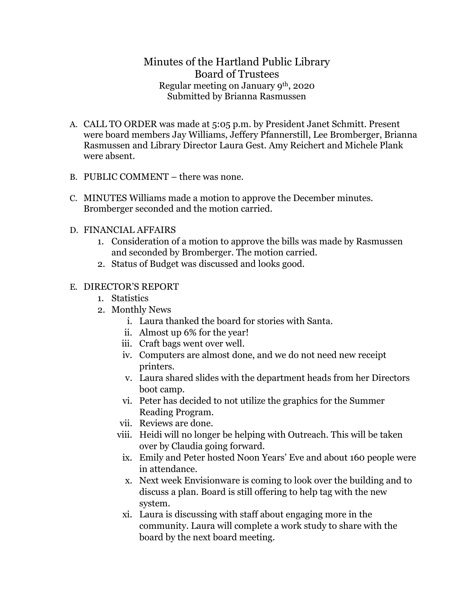## Minutes of the Hartland Public Library Board of Trustees Regular meeting on January 9th, 2020 Submitted by Brianna Rasmussen

- A. CALL TO ORDER was made at 5:05 p.m. by President Janet Schmitt. Present were board members Jay Williams, Jeffery Pfannerstill, Lee Bromberger, Brianna Rasmussen and Library Director Laura Gest. Amy Reichert and Michele Plank were absent.
- B. PUBLIC COMMENT there was none.
- C. MINUTES Williams made a motion to approve the December minutes. Bromberger seconded and the motion carried.
- D. FINANCIAL AFFAIRS
	- 1. Consideration of a motion to approve the bills was made by Rasmussen and seconded by Bromberger. The motion carried.
	- 2. Status of Budget was discussed and looks good.

## E. DIRECTOR'S REPORT

- 1. Statistics
- 2. Monthly News
	- i. Laura thanked the board for stories with Santa.
	- ii. Almost up 6% for the year!
	- iii. Craft bags went over well.
	- iv. Computers are almost done, and we do not need new receipt printers.
	- v. Laura shared slides with the department heads from her Directors boot camp.
	- vi. Peter has decided to not utilize the graphics for the Summer Reading Program.
	- vii. Reviews are done.
	- viii. Heidi will no longer be helping with Outreach. This will be taken over by Claudia going forward.
	- ix. Emily and Peter hosted Noon Years' Eve and about 160 people were in attendance.
	- x. Next week Envisionware is coming to look over the building and to discuss a plan. Board is still offering to help tag with the new system.
	- xi. Laura is discussing with staff about engaging more in the community. Laura will complete a work study to share with the board by the next board meeting.